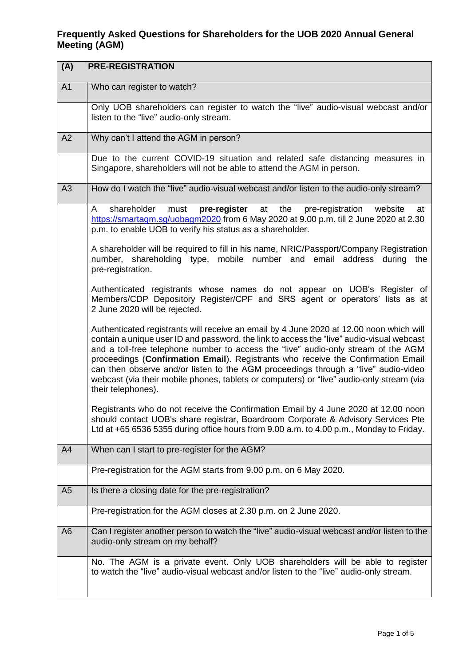## **Frequently Asked Questions for Shareholders for the UOB 2020 Annual General Meeting (AGM)**

| (A)<br><b>PRE-REGISTRATION</b> |                                                                                                                                                                                                                                                                                                                                                                                                                                                                                                                                                                        |
|--------------------------------|------------------------------------------------------------------------------------------------------------------------------------------------------------------------------------------------------------------------------------------------------------------------------------------------------------------------------------------------------------------------------------------------------------------------------------------------------------------------------------------------------------------------------------------------------------------------|
| A <sub>1</sub>                 | Who can register to watch?                                                                                                                                                                                                                                                                                                                                                                                                                                                                                                                                             |
|                                | Only UOB shareholders can register to watch the "live" audio-visual webcast and/or<br>listen to the "live" audio-only stream.                                                                                                                                                                                                                                                                                                                                                                                                                                          |
| A2                             | Why can't I attend the AGM in person?                                                                                                                                                                                                                                                                                                                                                                                                                                                                                                                                  |
|                                | Due to the current COVID-19 situation and related safe distancing measures in<br>Singapore, shareholders will not be able to attend the AGM in person.                                                                                                                                                                                                                                                                                                                                                                                                                 |
| A3                             | How do I watch the "live" audio-visual webcast and/or listen to the audio-only stream?                                                                                                                                                                                                                                                                                                                                                                                                                                                                                 |
|                                | pre-register<br>at the pre-registration website<br>shareholder<br>must<br>A<br>at<br>https://smartagm.sg/uobagm2020 from 6 May 2020 at 9.00 p.m. till 2 June 2020 at 2.30<br>p.m. to enable UOB to verify his status as a shareholder.                                                                                                                                                                                                                                                                                                                                 |
|                                | A shareholder will be required to fill in his name, NRIC/Passport/Company Registration<br>number, shareholding type, mobile number and email address during the<br>pre-registration.                                                                                                                                                                                                                                                                                                                                                                                   |
|                                | Authenticated registrants whose names do not appear on UOB's Register of<br>Members/CDP Depository Register/CPF and SRS agent or operators' lists as at<br>2 June 2020 will be rejected.                                                                                                                                                                                                                                                                                                                                                                               |
|                                | Authenticated registrants will receive an email by 4 June 2020 at 12.00 noon which will<br>contain a unique user ID and password, the link to access the "live" audio-visual webcast<br>and a toll-free telephone number to access the "live" audio-only stream of the AGM<br>proceedings (Confirmation Email). Registrants who receive the Confirmation Email<br>can then observe and/or listen to the AGM proceedings through a "live" audio-video<br>webcast (via their mobile phones, tablets or computers) or "live" audio-only stream (via<br>their telephones). |
|                                | Registrants who do not receive the Confirmation Email by 4 June 2020 at 12.00 noon<br>should contact UOB's share registrar, Boardroom Corporate & Advisory Services Pte<br>Ltd at +65 6536 5355 during office hours from 9.00 a.m. to 4.00 p.m., Monday to Friday.                                                                                                                                                                                                                                                                                                     |
| A4                             | When can I start to pre-register for the AGM?                                                                                                                                                                                                                                                                                                                                                                                                                                                                                                                          |
|                                | Pre-registration for the AGM starts from 9.00 p.m. on 6 May 2020.                                                                                                                                                                                                                                                                                                                                                                                                                                                                                                      |
| A <sub>5</sub>                 | Is there a closing date for the pre-registration?                                                                                                                                                                                                                                                                                                                                                                                                                                                                                                                      |
|                                | Pre-registration for the AGM closes at 2.30 p.m. on 2 June 2020.                                                                                                                                                                                                                                                                                                                                                                                                                                                                                                       |
| A <sub>6</sub>                 | Can I register another person to watch the "live" audio-visual webcast and/or listen to the<br>audio-only stream on my behalf?                                                                                                                                                                                                                                                                                                                                                                                                                                         |
|                                | No. The AGM is a private event. Only UOB shareholders will be able to register<br>to watch the "live" audio-visual webcast and/or listen to the "live" audio-only stream.                                                                                                                                                                                                                                                                                                                                                                                              |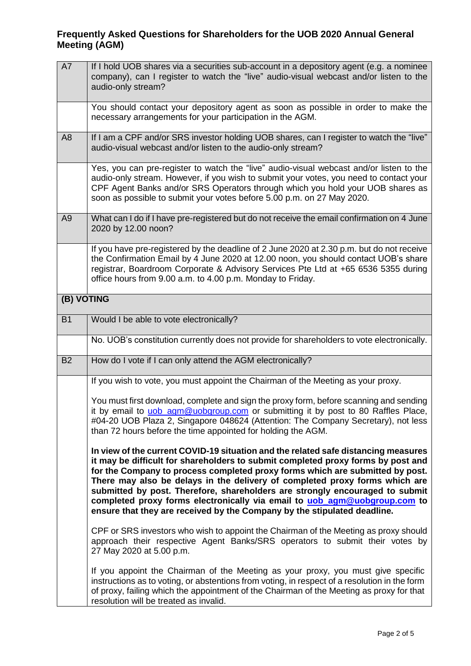## **Frequently Asked Questions for Shareholders for the UOB 2020 Annual General Meeting (AGM)**

| A7             | If I hold UOB shares via a securities sub-account in a depository agent (e.g. a nominee<br>company), can I register to watch the "live" audio-visual webcast and/or listen to the<br>audio-only stream?                                                                                                                                                                                                                                                                                                                                                                         |
|----------------|---------------------------------------------------------------------------------------------------------------------------------------------------------------------------------------------------------------------------------------------------------------------------------------------------------------------------------------------------------------------------------------------------------------------------------------------------------------------------------------------------------------------------------------------------------------------------------|
|                | You should contact your depository agent as soon as possible in order to make the<br>necessary arrangements for your participation in the AGM.                                                                                                                                                                                                                                                                                                                                                                                                                                  |
| A <sub>8</sub> | If I am a CPF and/or SRS investor holding UOB shares, can I register to watch the "live"<br>audio-visual webcast and/or listen to the audio-only stream?                                                                                                                                                                                                                                                                                                                                                                                                                        |
|                | Yes, you can pre-register to watch the "live" audio-visual webcast and/or listen to the<br>audio-only stream. However, if you wish to submit your votes, you need to contact your<br>CPF Agent Banks and/or SRS Operators through which you hold your UOB shares as<br>soon as possible to submit your votes before 5.00 p.m. on 27 May 2020.                                                                                                                                                                                                                                   |
| A <sub>9</sub> | What can I do if I have pre-registered but do not receive the email confirmation on 4 June<br>2020 by 12.00 noon?                                                                                                                                                                                                                                                                                                                                                                                                                                                               |
|                | If you have pre-registered by the deadline of 2 June 2020 at 2.30 p.m. but do not receive<br>the Confirmation Email by 4 June 2020 at 12.00 noon, you should contact UOB's share<br>registrar, Boardroom Corporate & Advisory Services Pte Ltd at +65 6536 5355 during<br>office hours from 9.00 a.m. to 4.00 p.m. Monday to Friday.                                                                                                                                                                                                                                            |
|                | (B) VOTING                                                                                                                                                                                                                                                                                                                                                                                                                                                                                                                                                                      |
| <b>B1</b>      | Would I be able to vote electronically?                                                                                                                                                                                                                                                                                                                                                                                                                                                                                                                                         |
|                | No. UOB's constitution currently does not provide for shareholders to vote electronically.                                                                                                                                                                                                                                                                                                                                                                                                                                                                                      |
| <b>B2</b>      | How do I vote if I can only attend the AGM electronically?                                                                                                                                                                                                                                                                                                                                                                                                                                                                                                                      |
|                | If you wish to vote, you must appoint the Chairman of the Meeting as your proxy.                                                                                                                                                                                                                                                                                                                                                                                                                                                                                                |
|                | You must first download, complete and sign the proxy form, before scanning and sending<br>it by email to uob_agm@uobgroup.com or submitting it by post to 80 Raffles Place,<br>#04-20 UOB Plaza 2, Singapore 048624 (Attention: The Company Secretary), not less<br>than 72 hours before the time appointed for holding the AGM.                                                                                                                                                                                                                                                |
|                | In view of the current COVID-19 situation and the related safe distancing measures<br>it may be difficult for shareholders to submit completed proxy forms by post and<br>for the Company to process completed proxy forms which are submitted by post.<br>There may also be delays in the delivery of completed proxy forms which are<br>submitted by post. Therefore, shareholders are strongly encouraged to submit<br>completed proxy forms electronically via email to uob_agm@uobgroup.com to<br>ensure that they are received by the Company by the stipulated deadline. |
|                | CPF or SRS investors who wish to appoint the Chairman of the Meeting as proxy should<br>approach their respective Agent Banks/SRS operators to submit their votes by<br>27 May 2020 at 5.00 p.m.                                                                                                                                                                                                                                                                                                                                                                                |
|                | If you appoint the Chairman of the Meeting as your proxy, you must give specific<br>instructions as to voting, or abstentions from voting, in respect of a resolution in the form<br>of proxy, failing which the appointment of the Chairman of the Meeting as proxy for that<br>resolution will be treated as invalid.                                                                                                                                                                                                                                                         |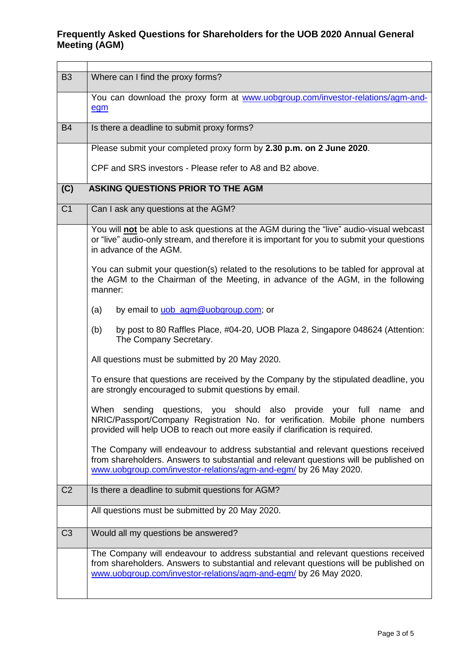## **Frequently Asked Questions for Shareholders for the UOB 2020 Annual General Meeting (AGM)**

| <b>B3</b>      | Where can I find the proxy forms?                                                                                                                                                                                                              |
|----------------|------------------------------------------------------------------------------------------------------------------------------------------------------------------------------------------------------------------------------------------------|
|                | You can download the proxy form at www.uobgroup.com/investor-relations/agm-and-<br>egm                                                                                                                                                         |
| <b>B4</b>      | Is there a deadline to submit proxy forms?                                                                                                                                                                                                     |
|                | Please submit your completed proxy form by 2.30 p.m. on 2 June 2020.                                                                                                                                                                           |
|                | CPF and SRS investors - Please refer to A8 and B2 above.                                                                                                                                                                                       |
| (C)            | ASKING QUESTIONS PRIOR TO THE AGM                                                                                                                                                                                                              |
| C <sub>1</sub> | Can I ask any questions at the AGM?                                                                                                                                                                                                            |
|                | You will not be able to ask questions at the AGM during the "live" audio-visual webcast<br>or "live" audio-only stream, and therefore it is important for you to submit your questions<br>in advance of the AGM.                               |
|                | You can submit your question(s) related to the resolutions to be tabled for approval at<br>the AGM to the Chairman of the Meeting, in advance of the AGM, in the following<br>manner:                                                          |
|                | by email to uob_agm@uobgroup.com; or<br>(a)                                                                                                                                                                                                    |
|                | by post to 80 Raffles Place, #04-20, UOB Plaza 2, Singapore 048624 (Attention:<br>(b)<br>The Company Secretary.                                                                                                                                |
|                | All questions must be submitted by 20 May 2020.                                                                                                                                                                                                |
|                | To ensure that questions are received by the Company by the stipulated deadline, you<br>are strongly encouraged to submit questions by email.                                                                                                  |
|                | When sending questions, you should also provide your full name<br>and<br>NRIC/Passport/Company Registration No. for verification. Mobile phone numbers<br>provided will help UOB to reach out more easily if clarification is required.        |
|                | The Company will endeavour to address substantial and relevant questions received<br>from shareholders. Answers to substantial and relevant questions will be published on<br>www.uobgroup.com/investor-relations/agm-and-egm/ by 26 May 2020. |
| C <sub>2</sub> | Is there a deadline to submit questions for AGM?                                                                                                                                                                                               |
|                | All questions must be submitted by 20 May 2020.                                                                                                                                                                                                |
| C <sub>3</sub> | Would all my questions be answered?                                                                                                                                                                                                            |
|                | The Company will endeavour to address substantial and relevant questions received<br>from shareholders. Answers to substantial and relevant questions will be published on<br>www.uobgroup.com/investor-relations/agm-and-egm/ by 26 May 2020. |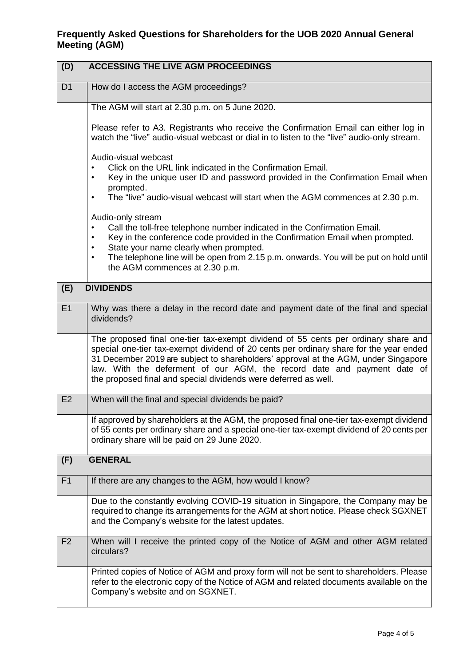| (D)            | <b>ACCESSING THE LIVE AGM PROCEEDINGS</b>                                                                                                                                                                                                                                                                                                                                                                        |
|----------------|------------------------------------------------------------------------------------------------------------------------------------------------------------------------------------------------------------------------------------------------------------------------------------------------------------------------------------------------------------------------------------------------------------------|
| D <sub>1</sub> | How do I access the AGM proceedings?                                                                                                                                                                                                                                                                                                                                                                             |
|                | The AGM will start at 2.30 p.m. on 5 June 2020.                                                                                                                                                                                                                                                                                                                                                                  |
|                | Please refer to A3. Registrants who receive the Confirmation Email can either log in<br>watch the "live" audio-visual webcast or dial in to listen to the "live" audio-only stream.                                                                                                                                                                                                                              |
|                | Audio-visual webcast<br>Click on the URL link indicated in the Confirmation Email.<br>Key in the unique user ID and password provided in the Confirmation Email when<br>٠<br>prompted.<br>The "live" audio-visual webcast will start when the AGM commences at 2.30 p.m.<br>٠                                                                                                                                    |
|                | Audio-only stream<br>Call the toll-free telephone number indicated in the Confirmation Email.<br>٠<br>Key in the conference code provided in the Confirmation Email when prompted.<br>$\bullet$<br>State your name clearly when prompted.<br>$\bullet$<br>The telephone line will be open from 2.15 p.m. onwards. You will be put on hold until<br>$\bullet$<br>the AGM commences at 2.30 p.m.                   |
| (E)            | <b>DIVIDENDS</b>                                                                                                                                                                                                                                                                                                                                                                                                 |
| E1             | Why was there a delay in the record date and payment date of the final and special<br>dividends?                                                                                                                                                                                                                                                                                                                 |
|                | The proposed final one-tier tax-exempt dividend of 55 cents per ordinary share and<br>special one-tier tax-exempt dividend of 20 cents per ordinary share for the year ended<br>31 December 2019 are subject to shareholders' approval at the AGM, under Singapore<br>law. With the deferment of our AGM, the record date and payment date of<br>the proposed final and special dividends were deferred as well. |
| E <sub>2</sub> | When will the final and special dividends be paid?                                                                                                                                                                                                                                                                                                                                                               |
|                | If approved by shareholders at the AGM, the proposed final one-tier tax-exempt dividend<br>of 55 cents per ordinary share and a special one-tier tax-exempt dividend of 20 cents per<br>ordinary share will be paid on 29 June 2020.                                                                                                                                                                             |
| (F)            | <b>GENERAL</b>                                                                                                                                                                                                                                                                                                                                                                                                   |
| F1             | If there are any changes to the AGM, how would I know?                                                                                                                                                                                                                                                                                                                                                           |
|                | Due to the constantly evolving COVID-19 situation in Singapore, the Company may be<br>required to change its arrangements for the AGM at short notice. Please check SGXNET<br>and the Company's website for the latest updates.                                                                                                                                                                                  |
| F <sub>2</sub> | When will I receive the printed copy of the Notice of AGM and other AGM related<br>circulars?                                                                                                                                                                                                                                                                                                                    |
|                | Printed copies of Notice of AGM and proxy form will not be sent to shareholders. Please<br>refer to the electronic copy of the Notice of AGM and related documents available on the<br>Company's website and on SGXNET.                                                                                                                                                                                          |